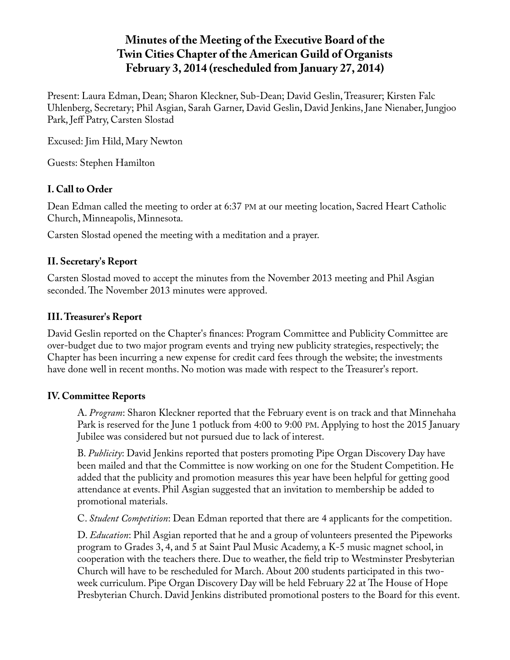# **Minutes of the Meeting of the Executive Board of the Twin Cities Chapter of the American Guild of Organists February 3, 2014 (rescheduled from January 27, 2014)**

Present: Laura Edman, Dean; Sharon Kleckner, Sub-Dean; David Geslin, Treasurer; Kirsten Falc Uhlenberg, Secretary; Phil Asgian, Sarah Garner, David Geslin, David Jenkins, Jane Nienaber, Jungjoo Park, Jeff Patry, Carsten Slostad

Excused: Jim Hild, Mary Newton

Guests: Stephen Hamilton

# **I. Call to Order**

Dean Edman called the meeting to order at 6:37 PM at our meeting location, Sacred Heart Catholic Church, Minneapolis, Minnesota.

Carsten Slostad opened the meeting with a meditation and a prayer.

# **II. Secretary's Report**

Carsten Slostad moved to accept the minutes from the November 2013 meeting and Phil Asgian seconded. The November 2013 minutes were approved.

# **III. Treasurer's Report**

David Geslin reported on the Chapter's finances: Program Committee and Publicity Committee are over-budget due to two major program events and trying new publicity strategies, respectively; the Chapter has been incurring a new expense for credit card fees through the website; the investments have done well in recent months. No motion was made with respect to the Treasurer's report.

## **IV. Committee Reports**

A. *Program*: Sharon Kleckner reported that the February event is on track and that Minnehaha Park is reserved for the June 1 potluck from 4:00 to 9:00 PM. Applying to host the 2015 January Jubilee was considered but not pursued due to lack of interest.

B. *Publicity*: David Jenkins reported that posters promoting Pipe Organ Discovery Day have been mailed and that the Committee is now working on one for the Student Competition. He added that the publicity and promotion measures this year have been helpful for getting good attendance at events. Phil Asgian suggested that an invitation to membership be added to promotional materials.

C. *Student Competition*: Dean Edman reported that there are 4 applicants for the competition.

D. *Education*: Phil Asgian reported that he and a group of volunteers presented the Pipeworks program to Grades 3, 4, and 5 at Saint Paul Music Academy, a K-5 music magnet school, in cooperation with the teachers there. Due to weather, the field trip to Westminster Presbyterian Church will have to be rescheduled for March. About 200 students participated in this twoweek curriculum. Pipe Organ Discovery Day will be held February 22 at The House of Hope Presbyterian Church. David Jenkins distributed promotional posters to the Board for this event.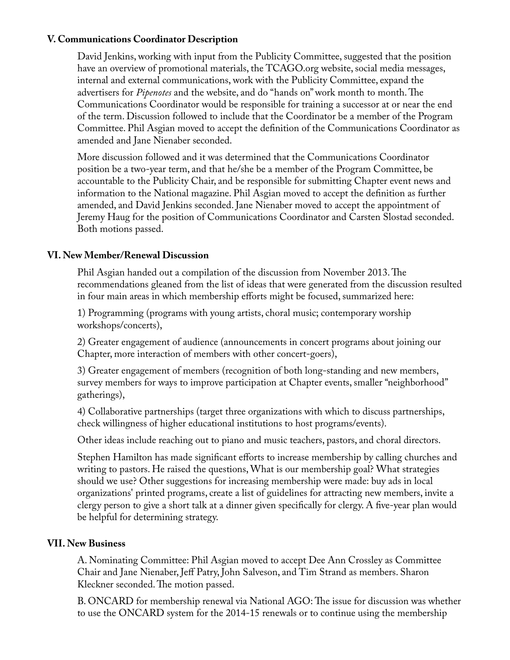## **V. Communications Coordinator Description**

David Jenkins, working with input from the Publicity Committee, suggested that the position have an overview of promotional materials, the TCAGO.org website, social media messages, internal and external communications, work with the Publicity Committee, expand the advertisers for *Pipenotes* and the website, and do "hands on" work month to month. The Communications Coordinator would be responsible for training a successor at or near the end of the term. Discussion followed to include that the Coordinator be a member of the Program Committee. Phil Asgian moved to accept the definition of the Communications Coordinator as amended and Jane Nienaber seconded.

More discussion followed and it was determined that the Communications Coordinator position be a two-year term, and that he/she be a member of the Program Committee, be accountable to the Publicity Chair, and be responsible for submitting Chapter event news and information to the National magazine. Phil Asgian moved to accept the definition as further amended, and David Jenkins seconded. Jane Nienaber moved to accept the appointment of Jeremy Haug for the position of Communications Coordinator and Carsten Slostad seconded. Both motions passed.

## **VI. New Member/Renewal Discussion**

Phil Asgian handed out a compilation of the discussion from November 2013. The recommendations gleaned from the list of ideas that were generated from the discussion resulted in four main areas in which membership efforts might be focused, summarized here:

1) Programming (programs with young artists, choral music; contemporary worship workshops/concerts),

2) Greater engagement of audience (announcements in concert programs about joining our Chapter, more interaction of members with other concert-goers),

3) Greater engagement of members (recognition of both long-standing and new members, survey members for ways to improve participation at Chapter events, smaller "neighborhood" gatherings),

4) Collaborative partnerships (target three organizations with which to discuss partnerships, check willingness of higher educational institutions to host programs/events).

Other ideas include reaching out to piano and music teachers, pastors, and choral directors.

Stephen Hamilton has made significant efforts to increase membership by calling churches and writing to pastors. He raised the questions, What is our membership goal? What strategies should we use? Other suggestions for increasing membership were made: buy ads in local organizations' printed programs, create a list of guidelines for attracting new members, invite a clergy person to give a short talk at a dinner given specifically for clergy. A five-year plan would be helpful for determining strategy.

#### **VII. New Business**

A. Nominating Committee: Phil Asgian moved to accept Dee Ann Crossley as Committee Chair and Jane Nienaber, Jeff Patry, John Salveson, and Tim Strand as members. Sharon Kleckner seconded. The motion passed.

B. ONCARD for membership renewal via National AGO: The issue for discussion was whether to use the ONCARD system for the 2014-15 renewals or to continue using the membership